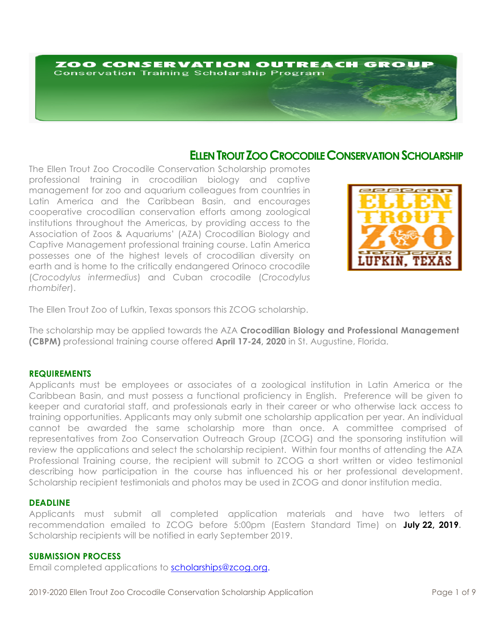# ZOO CONSERVATION OUTREACH GROUP **Conservation Training Scholarship Program**

# **ELLEN TROUT ZOO CROCODILE CONSERVATION SCHOLARSHIP**

The Ellen Trout Zoo Crocodile Conservation Scholarship promotes professional training in crocodilian biology and captive management for zoo and aquarium colleagues from countries in Latin America and the Caribbean Basin, and encourages cooperative crocodilian conservation efforts among zoological institutions throughout the Americas, by providing access to the Association of Zoos & Aquariums' (AZA) Crocodilian Biology and Captive Management professional training course. Latin America possesses one of the highest levels of crocodilian diversity on earth and is home to the critically endangered Orinoco crocodile (*Crocodylus intermedius*) and Cuban crocodile (*Crocodylus rhombifer*).



The Ellen Trout Zoo of Lufkin, Texas sponsors this ZCOG scholarship.

The scholarship may be applied towards the AZA **Crocodilian Biology and Professional Management (CBPM)** professional training course offered **April 17-24, 2020** in St. Augustine, Florida.

# **REQUIREMENTS**

Applicants must be employees or associates of a zoological institution in Latin America or the Caribbean Basin, and must possess a functional proficiency in English. Preference will be given to keeper and curatorial staff, and professionals early in their career or who otherwise lack access to training opportunities. Applicants may only submit one scholarship application per year. An individual cannot be awarded the same scholarship more than once. A committee comprised of representatives from Zoo Conservation Outreach Group (ZCOG) and the sponsoring institution will review the applications and select the scholarship recipient. Within four months of attending the AZA Professional Training course, the recipient will submit to ZCOG a short written or video testimonial describing how participation in the course has influenced his or her professional development. Scholarship recipient testimonials and photos may be used in ZCOG and donor institution media.

#### **DEADLINE**

Applicants must submit all completed application materials and have two letters of recommendation emailed to ZCOG before 5:00pm (Eastern Standard Time) on **July 22, 2019.** Scholarship recipients will be notified in early September 2019.

#### **SUBMISSION PROCESS**

Email completed applications to scholarships@zcog.org.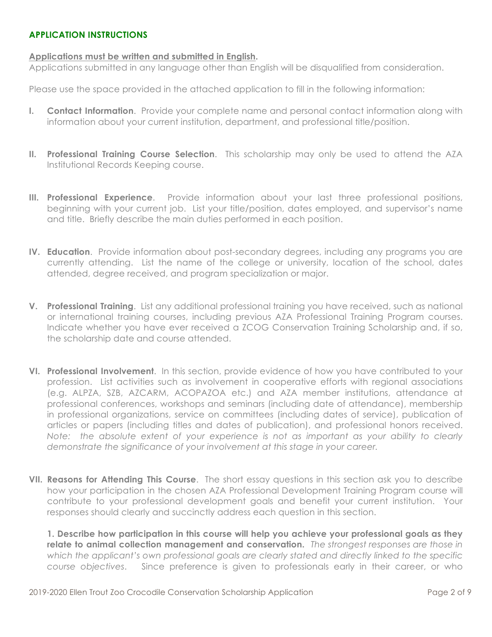# **APPLICATION INSTRUCTIONS**

## **Applications must be written and submitted in English.**

Applications submitted in any language other than English will be disqualified from consideration.

Please use the space provided in the attached application to fill in the following information:

- **I. Contact Information**. Provide your complete name and personal contact information along with information about your current institution, department, and professional title/position.
- **II. Professional Training Course Selection**. This scholarship may only be used to attend the AZA Institutional Records Keeping course.
- **III. Professional Experience**. Provide information about your last three professional positions, beginning with your current job. List your title/position, dates employed, and supervisor's name and title. Briefly describe the main duties performed in each position.
- **IV. Education**. Provide information about post-secondary degrees, including any programs you are currently attending. List the name of the college or university, location of the school, dates attended, degree received, and program specialization or major.
- **V. Professional Training**. List any additional professional training you have received, such as national or international training courses, including previous AZA Professional Training Program courses. Indicate whether you have ever received a ZCOG Conservation Training Scholarship and, if so, the scholarship date and course attended.
- **VI. Professional Involvement**. In this section, provide evidence of how you have contributed to your profession. List activities such as involvement in cooperative efforts with regional associations (e.g. ALPZA, SZB, AZCARM, ACOPAZOA etc.) and AZA member institutions, attendance at professional conferences, workshops and seminars (including date of attendance), membership in professional organizations, service on committees (including dates of service), publication of articles or papers (including titles and dates of publication), and professional honors received. *Note: the absolute extent of your experience is not as important as your ability to clearly demonstrate the significance of your involvement at this stage in your career.*
- **VII. Reasons for Attending This Course**. The short essay questions in this section ask you to describe how your participation in the chosen AZA Professional Development Training Program course will contribute to your professional development goals and benefit your current institution. Your responses should clearly and succinctly address each question in this section.

**1. Describe how participation in this course will help you achieve your professional goals as they relate to animal collection management and conservation.** *The strongest responses are those in which the applicant's own professional goals are clearly stated and directly linked to the specific course objectives*. Since preference is given to professionals early in their career, or who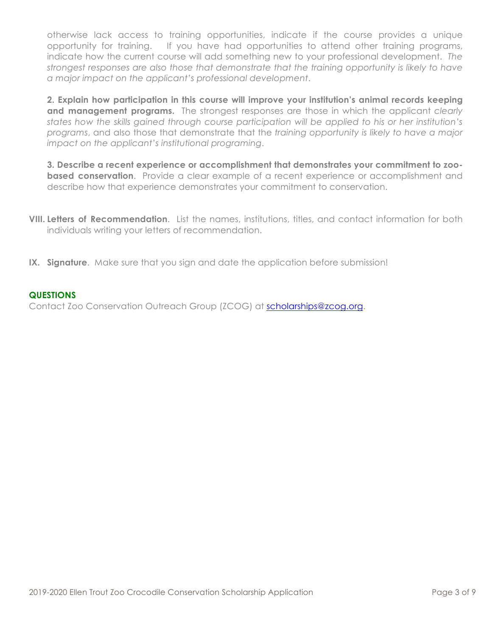otherwise lack access to training opportunities, indicate if the course provides a unique opportunity for training. If you have had opportunities to attend other training programs, indicate how the current course will add something new to your professional development. *The strongest responses are also those that demonstrate that the training opportunity is likely to have a major impact on the applicant's professional development*.

**2. Explain how participation in this course will improve your institution's animal records keeping and management programs.** The strongest responses are those in which the applicant *clearly states how the skills gained through course participation will be applied to his or her institution's programs*, and also those that demonstrate that the *training opportunity is likely to have a major impact on the applicant's institutional programing*.

**3. Describe a recent experience or accomplishment that demonstrates your commitment to zoobased conservation**. Provide a clear example of a recent experience or accomplishment and describe how that experience demonstrates your commitment to conservation.

- **VIII. Letters of Recommendation**. List the names, institutions, titles, and contact information for both individuals writing your letters of recommendation.
- **IX. Signature**. Make sure that you sign and date the application before submission!

# **QUESTIONS**

Contact Zoo Conservation Outreach Group (ZCOG) at scholarships@zcog.org.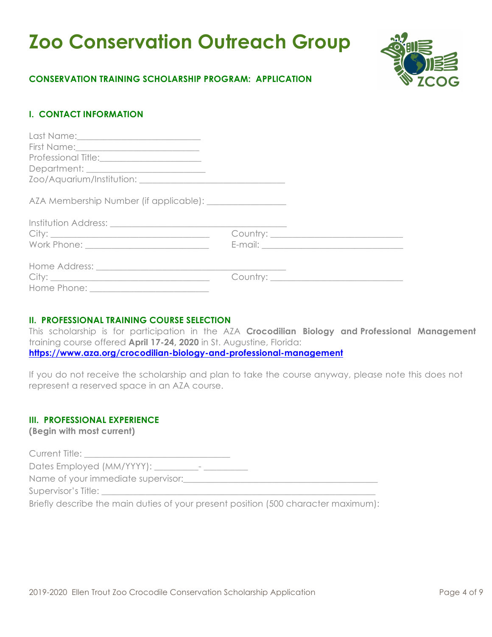# **Zoo Conservation Outreach Group**



# **CONSERVATION TRAINING SCHOLARSHIP PROGRAM: APPLICATION**

# **I. CONTACT INFORMATION**

# **II. PROFESSIONAL TRAINING COURSE SELECTION**

This scholarship is for participation in the AZA **Crocodilian Biology and Professional Management** training course offered **April 17-24, 2020** in St. Augustine, Florida: **https://www.aza.org/crocodilian-biology-and-professional-management**

If you do not receive the scholarship and plan to take the course anyway, please note this does not represent a reserved space in an AZA course.

# **III. PROFESSIONAL EXPERIENCE**

**(Begin with most current)**

Current Title: Dates Employed (MM/YYYY): \_\_\_\_\_\_\_\_\_\_- \_\_\_\_\_\_\_\_\_\_ Name of your immediate supervisor: Supervisor's Title:

Briefly describe the main duties of your present position (500 character maximum):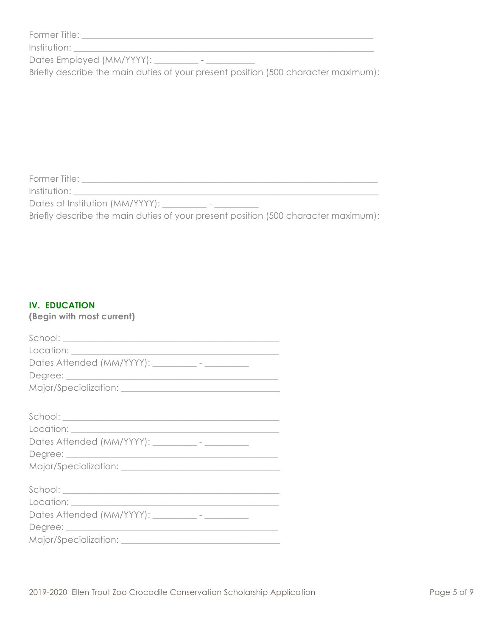| Former Title: |  |
|---------------|--|
|               |  |

Institution: \_\_\_\_\_\_\_\_\_\_\_\_\_\_\_\_\_\_\_\_\_\_\_\_\_\_\_\_\_\_\_\_\_\_\_\_\_\_\_\_\_\_\_\_\_\_\_\_\_\_\_\_\_\_\_\_\_\_\_\_\_\_\_\_\_\_\_\_

Dates Employed (MM/YYYY): \_\_\_\_\_\_\_\_\_ - \_\_\_\_\_\_\_\_\_\_\_

Briefly describe the main duties of your present position (500 character maximum):

 $F_{\rm eff}$  and  $F_{\rm eff}$  are the set of the set of the set of the set of the set of the set of the set of the set of the set of the set of the set of the set of the set of the set of the set of the set of the set of the set

Former Title: \_\_\_\_\_\_\_\_\_\_\_\_\_\_\_\_\_\_\_\_\_\_\_\_\_\_\_\_\_\_\_\_\_\_\_\_\_\_\_\_\_\_\_\_\_\_\_\_\_\_\_\_\_\_\_\_\_\_\_\_\_\_\_\_\_\_\_ Institution:

Dates at Institution (MM/YYYY): \_\_\_\_\_\_\_\_\_\_\_ - \_\_\_\_\_\_\_\_\_\_\_\_

Briefly describe the main duties of your present position (500 character maximum):

# **IV. EDUCATION**

**(Begin with most current)**

| Dates Attended (MM/YYYY): __________- - ______________ |
|--------------------------------------------------------|
|                                                        |
|                                                        |
|                                                        |
|                                                        |
|                                                        |
| Dates Attended (MM/YYYY): __________- - __________     |
|                                                        |
|                                                        |
|                                                        |
|                                                        |
|                                                        |
| Dates Attended (MM/YYYY): __________- - ____________   |
|                                                        |
|                                                        |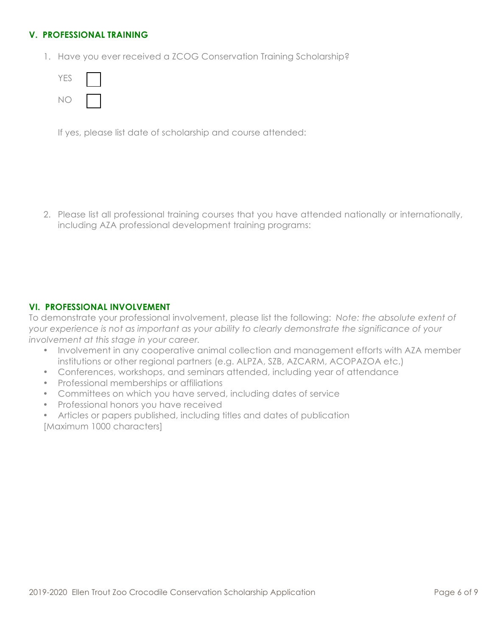# **V. PROFESSIONAL TRAINING**

1. Have you ever received a ZCOG Conservation Training Scholarship?

| ES<br>Υ |  |
|---------|--|
| ١       |  |

If yes, please list date of scholarship and course attended:

2. Please list all professional training courses that you have attended nationally or internationally, including AZA professional development training programs:

# **VI. PROFESSIONAL INVOLVEMENT**

To demonstrate your professional involvement, please list the following: *Note: the absolute extent of your experience is not as important as your ability to clearly demonstrate the significance of your involvement at this stage in your career.* 

- Involvement in any cooperative animal collection and management efforts with AZA member institutions or other regional partners (e.g. ALPZA, SZB, AZCARM, ACOPAZOA etc.)
- Conferences, workshops, and seminars attended, including year of attendance
- Professional memberships or affiliations
- Committees on which you have served, including dates of service
- Professional honors you have received
- Articles or papers published, including titles and dates of publication [Maximum 1000 characters]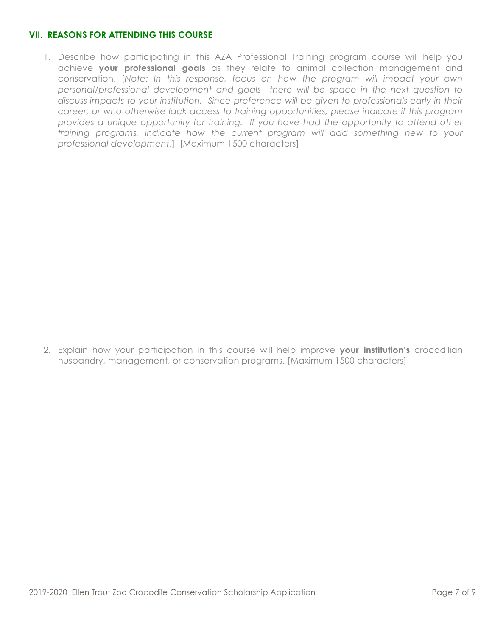# **VII. REASONS FOR ATTENDING THIS COURSE**

1. Describe how participating in this AZA Professional Training program course will help you achieve **your professional goals** as they relate to animal collection management and conservation. [*Note: In this response, focus on how the program will impact your own personal/professional development and goals—there will be space in the next question to discuss impacts to your institution. Since preference will be given to professionals early in their career, or who otherwise lack access to training opportunities, please indicate if this program provides a unique opportunity for training. If you have had the opportunity to attend other training programs, indicate how the current program will add something new to your professional development*.] [Maximum 1500 characters]

2. Explain how your participation in this course will help improve **your institution's** crocodilian husbandry, management, or conservation programs. [Maximum 1500 characters]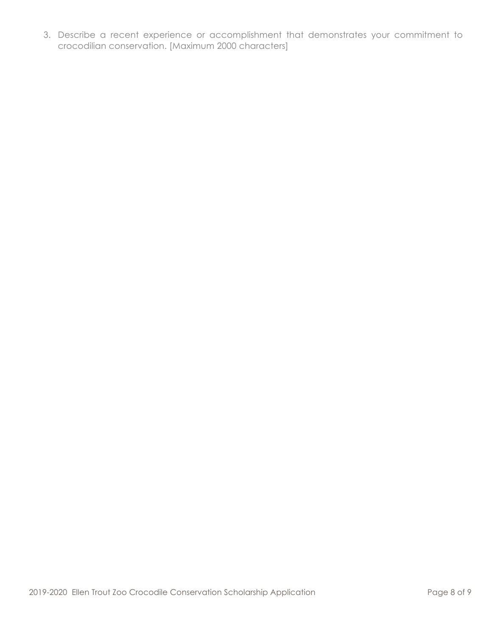3. Describe a recent experience or accomplishment that demonstrates your commitment to crocodilian conservation. [Maximum 2000 characters]